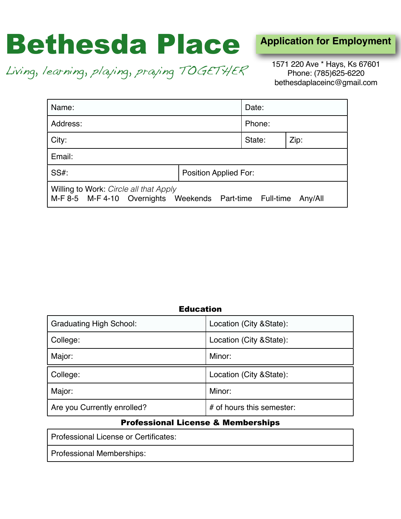# Bethesda Place

**Application for Employment**

Living, learning, playing, praying TOGETHER

1571 220 Ave \* Hays, Ks 67601 Phone: (785)625-6220 bethesdaplaceinc@gmail.com

| Name:                                                                                                         |  | Date:  |      |
|---------------------------------------------------------------------------------------------------------------|--|--------|------|
| Address:                                                                                                      |  | Phone: |      |
| City:                                                                                                         |  | State: | Zip: |
| Email:                                                                                                        |  |        |      |
| <b>SS#:</b><br><b>Position Applied For:</b>                                                                   |  |        |      |
| Willing to Work: Circle all that Apply<br>M-F 8-5 M-F 4-10 Overnights Weekends Part-time Full-time<br>Any/All |  |        |      |

## Education

| <b>Graduating High School:</b> | Location (City & State):  |
|--------------------------------|---------------------------|
| College:                       | Location (City & State):  |
| Major:                         | Minor:                    |
| College:                       | Location (City & State):  |
| Major:                         | Minor:                    |
| Are you Currently enrolled?    | # of hours this semester: |

## Professional License & Memberships

Professional License or Certificates:

Professional Memberships: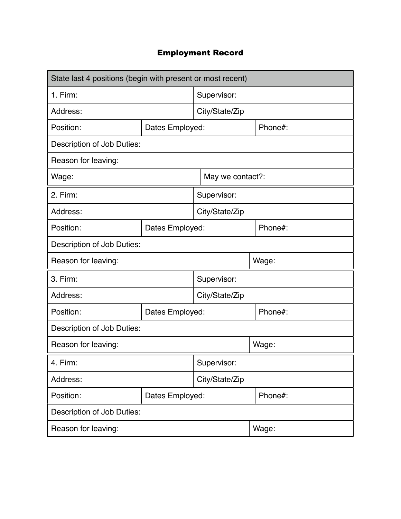## Employment Record

| State last 4 positions (begin with present or most recent) |                 |                  |         |
|------------------------------------------------------------|-----------------|------------------|---------|
| $1.$ Firm:                                                 |                 | Supervisor:      |         |
| Address:                                                   |                 | City/State/Zip   |         |
| Position:                                                  | Dates Employed: |                  | Phone#: |
| Description of Job Duties:                                 |                 |                  |         |
| Reason for leaving:                                        |                 |                  |         |
| Wage:                                                      |                 | May we contact?: |         |
| 2. Firm:                                                   |                 | Supervisor:      |         |
| Address:                                                   |                 | City/State/Zip   |         |
| Position:                                                  | Dates Employed: |                  | Phone#: |
| Description of Job Duties:                                 |                 |                  |         |
| Reason for leaving:                                        |                 |                  | Wage:   |
| 3. Firm:                                                   |                 | Supervisor:      |         |
| Address:                                                   |                 | City/State/Zip   |         |
| Position:                                                  | Dates Employed: |                  | Phone#: |
| Description of Job Duties:                                 |                 |                  |         |
| Reason for leaving:                                        |                 |                  | Wage:   |
| Supervisor:<br>4. Firm:                                    |                 |                  |         |
| Address:                                                   | City/State/Zip  |                  |         |
| Position:                                                  | Dates Employed: |                  | Phone#: |
| Description of Job Duties:                                 |                 |                  |         |
| Reason for leaving:                                        |                 |                  | Wage:   |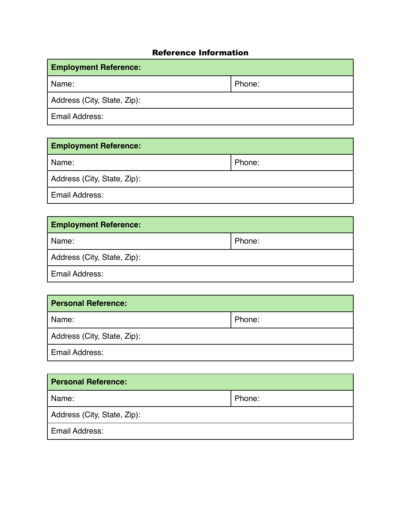## Reference Information

| <b>Employment Reference:</b> |        |  |
|------------------------------|--------|--|
| Name:                        | Phone: |  |
| Address (City, State, Zip):  |        |  |
| Email Address:               |        |  |

| <b>Employment Reference:</b> |        |  |
|------------------------------|--------|--|
| Name:                        | Phone: |  |
| Address (City, State, Zip):  |        |  |
| Email Address:               |        |  |

| <b>Employment Reference:</b> |        |  |
|------------------------------|--------|--|
| Name:                        | Phone: |  |
| Address (City, State, Zip):  |        |  |
| Email Address:               |        |  |

| <b>Personal Reference:</b>  |        |  |
|-----------------------------|--------|--|
| Name:                       | Phone: |  |
| Address (City, State, Zip): |        |  |
| <b>Email Address:</b>       |        |  |

| <b>Personal Reference:</b>  |        |  |
|-----------------------------|--------|--|
| Name:                       | Phone: |  |
| Address (City, State, Zip): |        |  |
| <b>Email Address:</b>       |        |  |